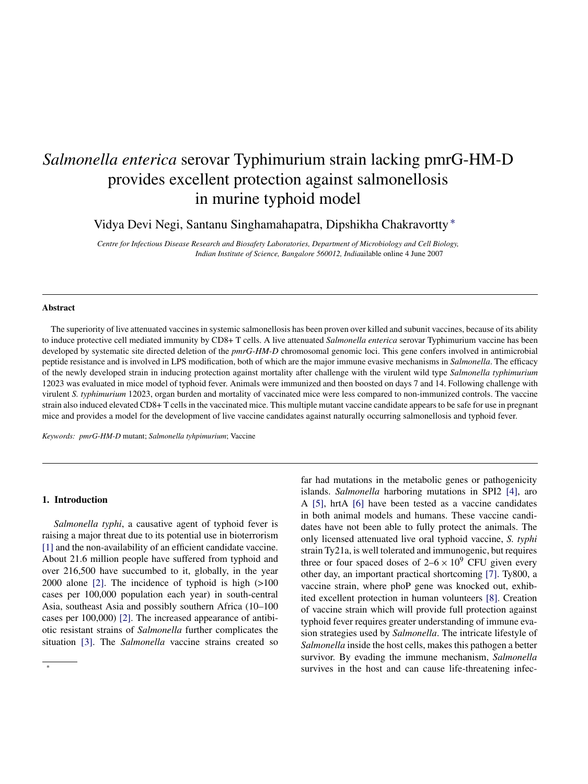# *Salmonella enterica* serovar Typhimurium strain lacking pmrG-HM-D provides excellent protection against salmonellosis in murine typhoid model

Vidya Devi Negi, Santanu Singhamahapatra, Dipshikha Chakravortty ∗

*Centre for Infectious Disease Research and Biosafety Laboratories, Department of Microbiology and Cell Biology, Indian Institute of Science, Bangalore 560012, India*ailable online 4 June 2007

#### **Abstract**

The superiority of live attenuated vaccines in systemic salmonellosis has been proven over killed and subunit vaccines, because of its ability to induce protective cell mediated immunity by CD8+ T cells. A live attenuated *Salmonella enterica* serovar Typhimurium vaccine has been developed by systematic site directed deletion of the *pmrG-HM-D* chromosomal genomic loci. This gene confers involved in antimicrobial peptide resistance and is involved in LPS modification, both of which are the major immune evasive mechanisms in *Salmonella*. The efficacy of the newly developed strain in inducing protection against mortality after challenge with the virulent wild type *Salmonella typhimurium* 12023 was evaluated in mice model of typhoid fever. Animals were immunized and then boosted on days 7 and 14. Following challenge with virulent *S. typhimurium* 12023, organ burden and mortality of vaccinated mice were less compared to non-immunized controls. The vaccine strain also induced elevated CD8+ T cells in the vaccinated mice. This multiple mutant vaccine candidate appears to be safe for use in pregnant mice and provides a model for the development of live vaccine candidates against naturally occurring salmonellosis and typhoid fever.

*Keywords: pmrG-HM-D* mutant; *Salmonella tyhpimurium*; Vaccine

#### **1. Introduction**

∗

*Salmonella typhi*, a causative agent of typhoid fever is raising a major threat due to its potential use in bioterrorism [\[1\]](#page-7-0) and the non-availability of an efficient candidate vaccine. About 21.6 million people have suffered from typhoid and over 216,500 have succumbed to it, globally, in the year 2000 alone [\[2\].](#page-7-0) The incidence of typhoid is high (>100 cases per 100,000 population each year) in south-central Asia, southeast Asia and possibly southern Africa (10–100 cases per 100,000) [\[2\].](#page-7-0) The increased appearance of antibiotic resistant strains of *Salmonella* further complicates the situation [\[3\].](#page-8-0) The *Salmonella* vaccine strains created so

far had mutations in the metabolic genes or pathogenicity islands. *Salmonella* harboring mutations in SPI2 [4], aro A [5], hrtA [6] have been tested as a vaccine candidates in both animal models and humans. These vaccin[e](#page-8-0) [can](#page-8-0)dida[tes](#page-8-0) [ha](#page-8-0)ve n[ot](#page-8-0) [be](#page-8-0)en able to fully protect the animals. The only licensed attenuated live oral typhoid vaccine, *S. typhi* strain Ty21a, is well tolerated and immunogenic, but requires three or four spaced doses of  $2-6 \times 10^9$  CFU given every other day, an important practical shortcoming [7]. Ty800, a vaccine strain, where phoP gene was knocked out, exhibited excellent protection in human volunteers [\[8\].](#page-8-0) Creation of vaccine strain which will provide full protection against typhoid fever requires greater understanding of [imm](#page-8-0)une evasion strategies used by *Salmonella*. The intricate lifestyle of *Salmonella* inside the host cells, makes this pathogen a better survivor. By evading the immune mechanism, *Salmonella* survives in the host and can cause life-threatening infec-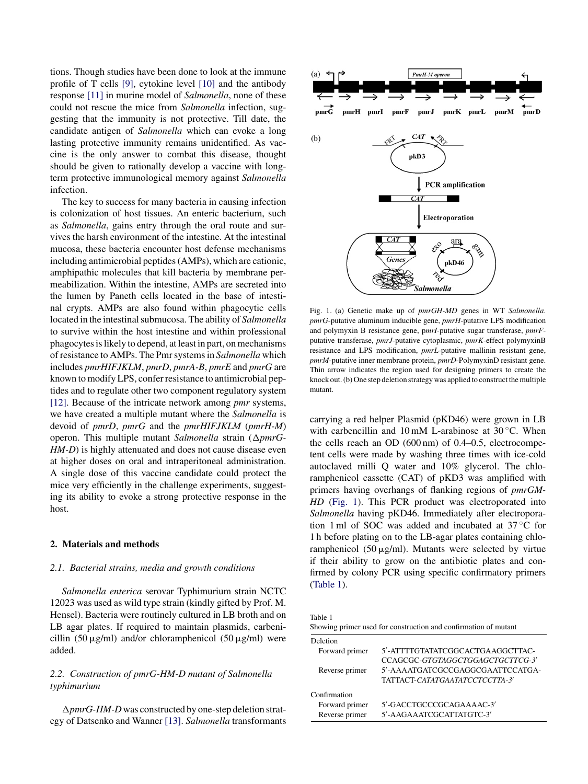<span id="page-1-0"></span>tions. Though studies have been done to look at the immune profile of T cells [\[9\],](#page-8-0) cytokine level [\[10\]](#page-8-0) and the antibody response [\[11\]](#page-8-0) in murine model of *Salmonella*, none of these could not rescue the mice from *Salmonella* infection, suggesting that the immunity is not protective. Till date, the candidate antigen of *Salmonella* which can evoke a long lasting protective immunity remains unidentified. As vaccine is the only answer to combat this disease, thought should be given to rationally develop a vaccine with longterm protective immunological memory against *Salmonella* infection.

The key to success for many bacteria in causing infection is colonization of host tissues. An enteric bacterium, such as *Salmonella*, gains entry through the oral route and survives the harsh environment of the intestine. At the intestinal mucosa, these bacteria encounter host defense mechanisms including antimicrobial peptides (AMPs), which are cationic, amphipathic molecules that kill bacteria by membrane permeabilization. Within the intestine, AMPs are secreted into the lumen by Paneth cells located in the base of intestinal crypts. AMPs are also found within phagocytic cells located in the intestinal submucosa. The ability of *Salmonella* to survive within the host intestine and within professional phagocytes is likely to depend, at least in part, on mechanisms of resistance to AMPs. The Pmr systems in *Salmonella* which includes *pmrHIFJKLM*, *pmrD*, *pmrA-B*, *pmrE* and *pmrG* are known to modify LPS, confer resistance to antimicrobial peptides and to regulate other two component regulatory system [\[12\].](#page-8-0) Because of the intricate network among *pmr* systems, we have created a multiple mutant where the *Salmonella* is devoid of *pmrD*, *pmrG* and the *pmrHIFJKLM* (*pmrH-M*) operon. This multiple mutant Salmonella strain ( $\Delta pmrG$ -*HM-D*) is highly attenuated and does not cause disease even at higher doses on oral and intraperitoneal administration. A single dose of this vaccine candidate could protect the mice very efficiently in the challenge experiments, suggesting its ability to evoke a strong protective response in the host.

## **2. Materials and methods**

#### *2.1. Bacterial strains, media and growth conditions*

*Salmonella enterica* serovar Typhimurium strain NCTC 12023 was used as wild type strain (kindly gifted by Prof. M. Hensel). Bacteria were routinely cultured in LB broth and on LB agar plates. If required to maintain plasmids, carbenicillin  $(50 \mu g/ml)$  and/or chloramphenicol  $(50 \mu g/ml)$  were added.

# *2.2. Construction of pmrG-HM-D mutant of Salmonella typhimurium*

-*pmrG-HM-D* was constructed by one-step deletion strategy of Datsenko and Wanner [\[13\].](#page-8-0) *Salmonella* transformants



Fig. 1. (a) Genetic make up of *pmrGH-MD* genes in WT *Salmonella*. *pmrG*-putative aluminum inducible gene, *pmrH*-putative LPS modification and polymyxin B resistance gene, p*mrI*-putative sugar transferase, *pmrF*putative transferase, *pmrJ*-putative cytoplasmic, *pmrK*-effect polymyxinB resistance and LPS modification, *pmrL*-putative mallinin resistant gene, *pmrM*-putative inner membrane protein, *pmrD*-PolymyxinD resistant gene. Thin arrow indicates the region used for designing primers to create the knock out. (b) One step deletion strategy was applied to construct the multiple mutant.

carrying a red helper Plasmid (pKD46) were grown in LB with carbencillin and 10 mM L-arabinose at  $30^{\circ}$ C. When the cells reach an OD (600 nm) of 0.4–0.5, electrocompetent cells were made by washing three times with ice-cold autoclaved milli Q water and 10% glycerol. The chloramphenicol cassette (CAT) of pKD3 was amplified with primers having overhangs of flanking regions of *pmrGM-HD* (Fig. 1). This PCR product was electroporated into *Salmonella* having pKD46. Immediately after electroporation 1 ml of SOC was added and incubated at 37 ◦C for 1 h before plating on to the LB-agar plates containing chloramphenicol  $(50 \mu g/ml)$ . Mutants were selected by virtue if their ability to grow on the antibiotic plates and confirmed by colony PCR using specific confirmatory primers (Table 1).

Table 1

| Showing primer used for construction and confirmation of mutant |                                  |  |  |  |  |  |
|-----------------------------------------------------------------|----------------------------------|--|--|--|--|--|
| Deletion                                                        |                                  |  |  |  |  |  |
| Forward primer                                                  | 5'-ATTTTGTATATCGGCACTGAAGGCTTAC- |  |  |  |  |  |
|                                                                 | CCAGCGC-GTGTAGGCTGGAGCTGCTTCG-3' |  |  |  |  |  |
| Reverse primer                                                  | 5'-AAAATGATCGCCGAGGCGAATTCCATGA- |  |  |  |  |  |
|                                                                 | TATTACT-CATATGAATATCCTCCTTA-3'   |  |  |  |  |  |
| Confirmation                                                    |                                  |  |  |  |  |  |
| Forward primer                                                  | 5'-GACCTGCCCGCAGAAAAC-3'         |  |  |  |  |  |
| Reverse primer                                                  | 5'-AAGAAATCGCATTATGTC-3'         |  |  |  |  |  |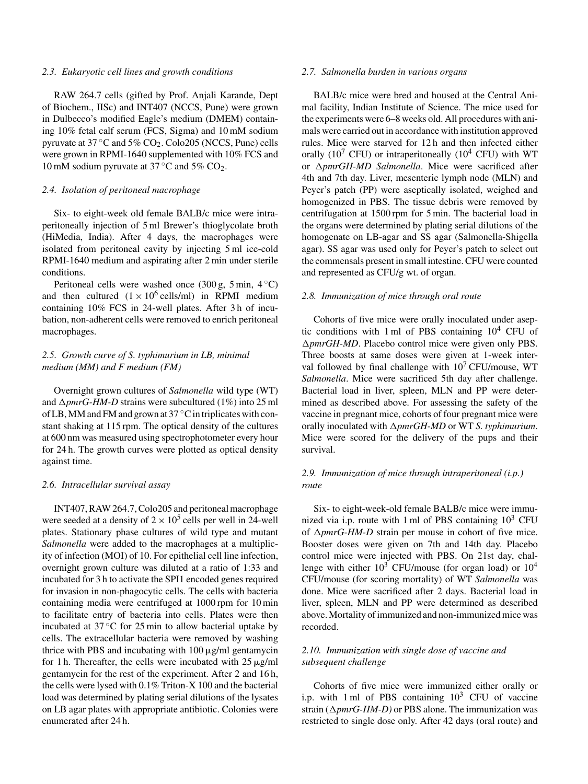## *2.3. Eukaryotic cell lines and growth conditions*

RAW 264.7 cells (gifted by Prof. Anjali Karande, Dept of Biochem., IISc) and INT407 (NCCS, Pune) were grown in Dulbecco's modified Eagle's medium (DMEM) containing 10% fetal calf serum (FCS, Sigma) and 10 mM sodium pyruvate at 37 ◦C and 5% CO2. Colo205 (NCCS, Pune) cells were grown in RPMI-1640 supplemented with 10% FCS and 10 mM sodium pyruvate at  $37^{\circ}$ C and  $5\%$  CO<sub>2</sub>.

#### *2.4. Isolation of peritoneal macrophage*

Six- to eight-week old female BALB/c mice were intraperitoneally injection of 5 ml Brewer's thioglycolate broth (HiMedia, India). After 4 days, the macrophages were isolated from peritoneal cavity by injecting 5 ml ice-cold RPMI-1640 medium and aspirating after 2 min under sterile conditions.

Peritoneal cells were washed once  $(300 \text{ g}, 5 \text{ min}, 4 \degree \text{C})$ and then cultured  $(1 \times 10^6 \text{ cells/ml})$  in RPMI medium containing 10% FCS in 24-well plates. After 3 h of incubation, non-adherent cells were removed to enrich peritoneal macrophages.

# *2.5. Growth curve of S. typhimurium in LB, minimal medium (MM) and F medium (FM)*

Overnight grown cultures of *Salmonella* wild type (WT) and  $\Delta p m r G$ -HM-D strains were subcultured (1%) into 25 ml of LB, MM and FM and grown at  $37^{\circ}$ C in triplicates with constant shaking at 115 rpm. The optical density of the cultures at 600 nm was measured using spectrophotometer every hour for 24 h. The growth curves were plotted as optical density against time.

## *2.6. Intracellular survival assay*

INT407, RAW 264.7, Colo205 and peritoneal macrophage were seeded at a density of  $2 \times 10^5$  cells per well in 24-well plates. Stationary phase cultures of wild type and mutant *Salmonella* were added to the macrophages at a multiplicity of infection (MOI) of 10. For epithelial cell line infection, overnight grown culture was diluted at a ratio of 1:33 and incubated for 3 h to activate the SPI1 encoded genes required for invasion in non-phagocytic cells. The cells with bacteria containing media were centrifuged at 1000 rpm for 10 min to facilitate entry of bacteria into cells. Plates were then incubated at 37 ◦C for 25 min to allow bacterial uptake by cells. The extracellular bacteria were removed by washing thrice with PBS and incubating with  $100 \mu g/ml$  gentamycin for 1 h. Thereafter, the cells were incubated with  $25 \mu g/ml$ gentamycin for the rest of the experiment. After 2 and 16 h, the cells were lysed with 0.1% Triton-X 100 and the bacterial load was determined by plating serial dilutions of the lysates on LB agar plates with appropriate antibiotic. Colonies were enumerated after 24 h.

## *2.7. Salmonella burden in various organs*

BALB/c mice were bred and housed at the Central Animal facility, Indian Institute of Science. The mice used for the experiments were 6–8 weeks old. All procedures with animals were carried out in accordance with institution approved rules. Mice were starved for 12 h and then infected either orally ( $10^7$  CFU) or intraperitoneally ( $10^4$  CFU) with WT or  $\Delta p m r G H-MD$  Salmonella. Mice were sacrificed after 4th and 7th day. Liver, mesenteric lymph node (MLN) and Peyer's patch (PP) were aseptically isolated, weighed and homogenized in PBS. The tissue debris were removed by centrifugation at 1500 rpm for 5 min. The bacterial load in the organs were determined by plating serial dilutions of the homogenate on LB-agar and SS agar (Salmonella-Shigella agar). SS agar was used only for Peyer's patch to select out the commensals present in small intestine. CFU were counted and represented as CFU/g wt. of organ.

#### *2.8. Immunization of mice through oral route*

Cohorts of five mice were orally inoculated under aseptic conditions with 1 ml of PBS containing  $10<sup>4</sup>$  CFU of -*pmrGH-MD*. Placebo control mice were given only PBS. Three boosts at same doses were given at 1-week interval followed by final challenge with  $10^7$  CFU/mouse, WT *Salmonella*. Mice were sacrificed 5th day after challenge. Bacterial load in liver, spleen, MLN and PP were determined as described above. For assessing the safety of the vaccine in pregnant mice, cohorts of four pregnant mice were orally inoculated with  $\triangle pmrGH-MD$  or WT *S. typhimurium*. Mice were scored for the delivery of the pups and their survival.

# *2.9. Immunization of mice through intraperitoneal (i.p.) route*

Six- to eight-week-old female BALB/c mice were immunized via i.p. route with 1 ml of PBS containing  $10^3$  CFU of  $\Delta p m r G$ -HM-D strain per mouse in cohort of five mice. Booster doses were given on 7th and 14th day. Placebo control mice were injected with PBS. On 21st day, challenge with either  $10^3$  CFU/mouse (for organ load) or  $10^4$ CFU/mouse (for scoring mortality) of WT *Salmonella* was done. Mice were sacrificed after 2 days. Bacterial load in liver, spleen, MLN and PP were determined as described above. Mortality of immunized and non-immunized mice was recorded.

## *2.10. Immunization with single dose of vaccine and subsequent challenge*

Cohorts of five mice were immunized either orally or i.p. with 1 ml of PBS containing  $10^3$  CFU of vaccine strain  $(\Delta p m r G$ -HM-D) or PBS alone. The immunization was restricted to single dose only. After 42 days (oral route) and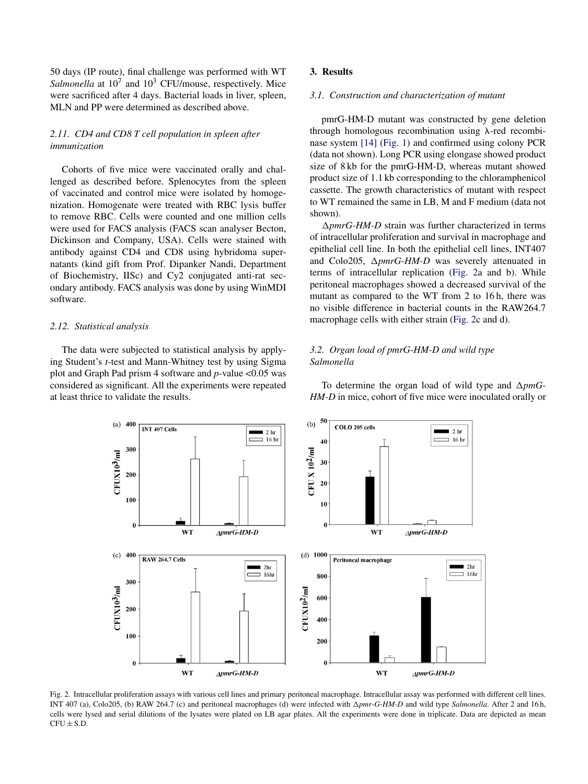50 days (IP route), final challenge was performed with WT *Salmonella* at  $10^7$  and  $10^3$  CFU/mouse, respectively. Mice were sacrificed after 4 days. Bacterial loads in liver, spleen, MLN and PP were determined as described above.

# *2.11. CD4 and CD8 T cell population in spleen after immunization*

Cohorts of five mice were vaccinated orally and challenged as described before. Splenocytes from the spleen of vaccinated and control mice were isolated by homogenization. Homogenate were treated with RBC lysis buffer to remove RBC. Cells were counted and one million cells were used for FACS analysis (FACS scan analyser Becton, Dickinson and Company, USA). Cells were stained with antibody against CD4 and CD8 using hybridoma supernatants (kind gift from Prof. Dipanker Nandi, Department of Biochemistry, IISc) and Cy2 conjugated anti-rat secondary antibody. FACS analysis was done by using WinMDI software.

## *2.12. Statistical analysis*

The data were subjected to statistical analysis by applying Student's *t*-test and Mann-Whitney test by using Sigma plot and Graph Pad prism 4 software and *p*-value <0.05 was considered as significant. All the experiments were repeated at least thrice to validate the results.

# **3. Results**

## *3.1. Construction and characterization of mutant*

pmrG-HM-D mutant was constructed by gene deletion through homologous recombination using  $\lambda$ -red recombinase system [\[14\]](#page-8-0) [\(Fig. 1\)](#page-1-0) and confirmed using colony PCR (data not shown). Long PCR using elongase showed product size of 8 kb for the pmrG-HM-D, whereas mutant showed product size of 1.1 kb corresponding to the chloramphenicol cassette. The growth characteristics of mutant with respect to WT remained the same in LB, M and F medium (data not shown).

ΔpmrG-HM-D strain was further characterized in terms of intracellular proliferation and survival in macrophage and epithelial cell line. In both the epithelial cell lines, INT407 and Colo205,  $\Delta p m r G$ -HM-D was severely attenuated in terms of intracellular replication (Fig. 2a and b). While peritoneal macrophages showed a decreased survival of the mutant as compared to the WT from 2 to 16 h, there was no visible difference in bacterial counts in the RAW264.7 macrophage cells with either strain (Fig. 2c and d).

## *3.2. Organ load of pmrG-HM-D and wild type Salmonella*



To determine the organ load of wild type and  $\Delta pmG$ -*HM-D* in mice, cohort of five mice were inoculated orally or

Fig. 2. Intracellular proliferation assays with various cell lines and primary peritoneal macrophage. Intracellular assay was performed with different cell lines. INT 407 (a), Colo205, (b) RAW 264.7 (c) and peritoneal macrophages (d) were infected with Δpmr-G-HM-D and wild type *Salmonella*. After 2 and 16 h, cells were lysed and serial dilutions of the lysates were plated on LB agar plates. All the experiments were done in triplicate. Data are depicted as mean  $CFU + SD$ .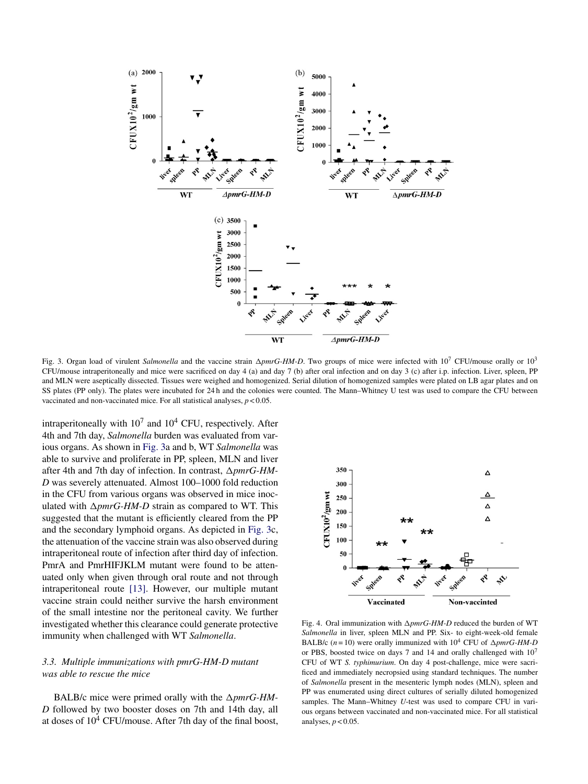<span id="page-4-0"></span>

Fig. 3. Organ load of virulent *Salmonella* and the vaccine strain  $\Delta p m rG$ -HM-D. Two groups of mice were infected with 10<sup>7</sup> CFU/mouse orally or 10<sup>3</sup> CFU/mouse intraperitoneally and mice were sacrificed on day 4 (a) and day 7 (b) after oral infection and on day 3 (c) after i.p. infection. Liver, spleen, PP and MLN were aseptically dissected. Tissues were weighed and homogenized. Serial dilution of homogenized samples were plated on LB agar plates and on SS plates (PP only). The plates were incubated for 24 h and the colonies were counted. The Mann–Whitney U test was used to compare the CFU between vaccinated and non-vaccinated mice. For all statistical analyses, *p* < 0.05.

intraperitoneally with  $10^7$  and  $10^4$  CFU, respectively. After 4th and 7th day, *Salmonella* burden was evaluated from various organs. As shown in Fig. 3a and b, WT *Salmonella* was able to survive and proliferate in PP, spleen, MLN and liver after 4th and 7th day of infection. In contrast,  $\Delta pmrG$ -HM-*D* was severely attenuated. Almost 100–1000 fold reduction in the CFU from various organs was observed in mice inoculated with  $\Delta p m r G$ -HM-D strain as compared to WT. This suggested that the mutant is efficiently cleared from the PP and the secondary lymphoid organs. As depicted in Fig. 3c, the attenuation of the vaccine strain was also observed during intraperitoneal route of infection after third day of infection. PmrA and PmrHIFJKLM mutant were found to be attenuated only when given through oral route and not through intraperitoneal route [\[13\].](#page-8-0) However, our multiple mutant vaccine strain could neither survive the harsh environment of the small intestine nor the peritoneal cavity. We further investigated whether this clearance could generate protective immunity when challenged with WT *Salmonella*.

# *3.3. Multiple immunizations with pmrG-HM-D mutant was able to rescue the mice*

BALB/c mice were primed orally with the  $\Delta p m r G$ -HM-*D* followed by two booster doses on 7th and 14th day, all at doses of  $10^4$  CFU/mouse. After 7th day of the final boost,



Fig. 4. Oral immunization with *∆pmrG-HM-D* reduced the burden of WT *Salmonella* in liver, spleen MLN and PP. Six- to eight-week-old female BALB/c  $(n = 10)$  were orally immunized with  $10<sup>4</sup>$  CFU of  $\Delta pmrG$ -HM-D or PBS, boosted twice on days 7 and 14 and orally challenged with  $10<sup>7</sup>$ CFU of WT *S. typhimurium*. On day 4 post-challenge, mice were sacrificed and immediately necropsied using standard techniques. The number of *Salmonella* present in the mesenteric lymph nodes (MLN), spleen and PP was enumerated using direct cultures of serially diluted homogenized samples. The Mann–Whitney *U*-test was used to compare CFU in various organs between vaccinated and non-vaccinated mice. For all statistical analyses,  $p < 0.05$ .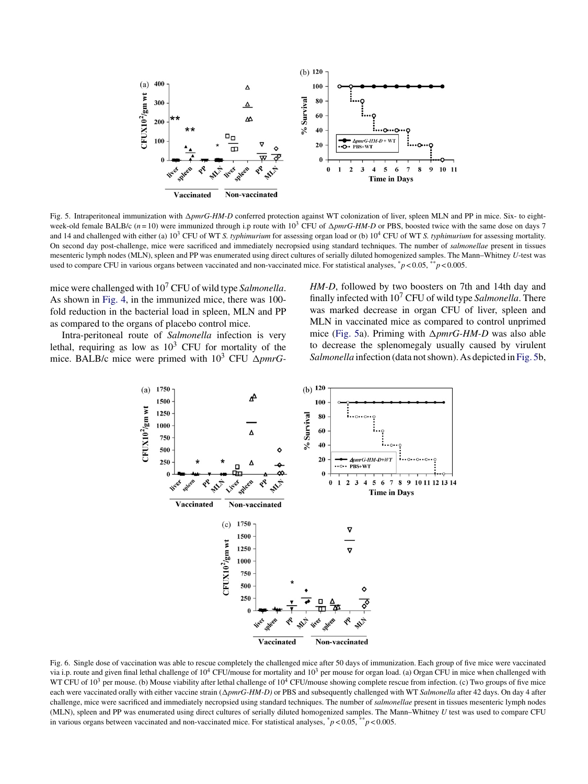<span id="page-5-0"></span>

Fig. 5. Intraperitoneal immunization with  $\Delta p m r G$ -HM-D conferred protection against WT colonization of liver, spleen MLN and PP in mice. Six- to eightweek-old female BALB/c  $(n=10)$  were immunized through i.p route with  $10^3$  CFU of  $\Delta p m r G$ -HM-D or PBS, boosted twice with the same dose on days 7 and 14 and challenged with either (a) 103 CFU of WT *S. typhimurium* for assessing organ load or (b) 104 CFU of WT *S. typhimurium* for assessing mortality. On second day post-challenge, mice were sacrificed and immediately necropsied using standard techniques. The number of *salmonellae* present in tissues mesenteric lymph nodes (MLN), spleen and PP was enumerated using direct cultures of serially diluted homogenized samples. The Mann–Whitney *U*-test was used to compare CFU in various organs between vaccinated and non-vaccinated mice. For statistical analyses,  $\dot{p}$  < 0.05,  $\dot{p}$   $>$  0.005.

mice were challenged with 107 CFU of wild type *Salmonella*. As shown in [Fig. 4,](#page-4-0) in the immunized mice, there was 100 fold reduction in the bacterial load in spleen, MLN and PP as compared to the organs of placebo control mice.

Intra-peritoneal route of *Salmonella* infection is very lethal, requiring as low as  $10^3$  CFU for mortality of the mice. BALB/c mice were primed with  $10^3$  CFU  $\Delta pmrG$ -

*HM-D*, followed by two boosters on 7th and 14th day and finally infected with 107 CFU of wild type *Salmonella*. There was marked decrease in organ CFU of liver, spleen and MLN in vaccinated mice as compared to control unprimed mice (Fig. 5a). Priming with *∆pmrG-HM-D* was also able to decrease the splenomegaly usually caused by virulent *Salmonella* infection (data not shown). As depicted in Fig. 5b,



Fig. 6. Single dose of vaccination was able to rescue completely the challenged mice after 50 days of immunization. Each group of five mice were vaccinated via i.p. route and given final lethal challenge of  $10^4$  CFU/mouse for mortality and  $10^3$  per mouse for organ load. (a) Organ CFU in mice when challenged with WT CFU of  $10^3$  per mouse. (b) Mouse viability after lethal challenge of  $10^4$  CFU/mouse showing complete rescue from infection. (c) Two groups of five mice each were vaccinated orally with either vaccine strain ( $\Delta pmrG-HM-D$ ) or PBS and subsequently challenged with WT *Salmonella* after 42 days. On day 4 after challenge, mice were sacrificed and immediately necropsied using standard techniques. The number of *salmonellae* present in tissues mesenteric lymph nodes (MLN), spleen and PP was enumerated using direct cultures of serially diluted homogenized samples. The Mann–Whitney *U* test was used to compare CFU in various organs between vaccinated and non-vaccinated mice. For statistical analyses,  $\binom{*}{p}$  < 0.05,  $\binom{*}{p}$  < 0.005.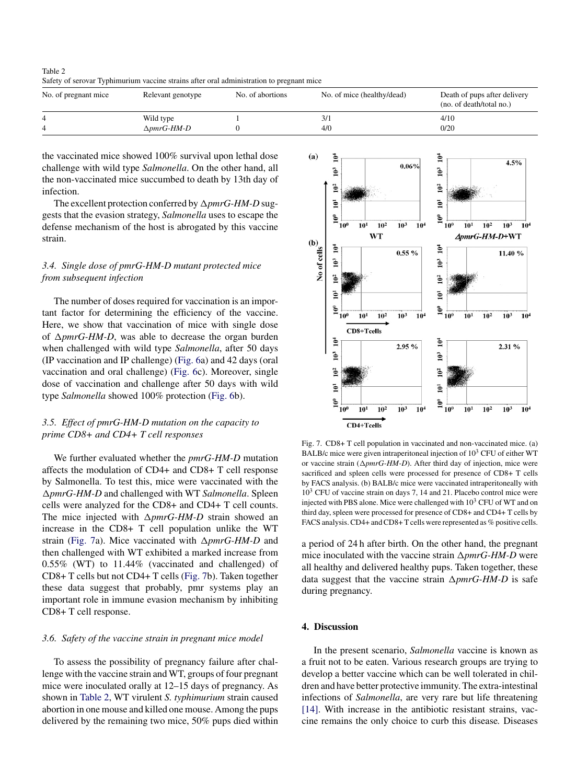Table 2 Safety of serovar Typhimurium vaccine strains after oral administration to pregnant mice

| No. of pregnant mice | Relevant genotype                   | No. of abortions | No. of mice (healthy/dead) | Death of pups after delivery<br>(no. of death/total no.) |
|----------------------|-------------------------------------|------------------|----------------------------|----------------------------------------------------------|
|                      | Wild type<br>$\triangle pmrG$ -HM-D |                  | 4/0                        | 4/10<br>0/20                                             |

the vaccinated mice showed 100% survival upon lethal dose challenge with wild type *Salmonella*. On the other hand, all the non-vaccinated mice succumbed to death by 13th day of infection.

The excellent protection conferred by  $\Delta pmrG$ -HM-D suggests that the evasion strategy, *Salmonella* uses to escape the defense mechanism of the host is abrogated by this vaccine strain.

# *3.4. Single dose of pmrG-HM-D mutant protected mice from subsequent infection*

The number of doses required for vaccination is an important factor for determining the efficiency of the vaccine. Here, we show that vaccination of mice with single dose of  $\Delta p m r G$ -HM-D, was able to decrease the organ burden when challenged with wild type *Salmonella*, after 50 days (IP vaccination and IP challenge) [\(Fig. 6a\)](#page-5-0) and 42 days (oral vaccination and oral challenge) [\(Fig. 6c](#page-5-0)). Moreover, single dose of vaccination and challenge after 50 days with wild type *Salmonella* showed 100% protection [\(Fig. 6b](#page-5-0)).

# *3.5. Effect of pmrG-HM-D mutation on the capacity to prime CD8+ and CD4+ T cell responses*

We further evaluated whether the *pmrG-HM-D* mutation affects the modulation of CD4+ and CD8+ T cell response by Salmonella. To test this, mice were vaccinated with the -*pmrG-HM-D* and challenged with WT *Salmonella*. Spleen cells were analyzed for the CD8+ and CD4+ T cell counts. The mice injected with  $\Delta p m r G$ -HM-D strain showed an increase in the CD8+ T cell population unlike the WT strain (Fig. 7a). Mice vaccinated with  $\Delta p m r G$ -HM-D and then challenged with WT exhibited a marked increase from 0.55% (WT) to 11.44% (vaccinated and challenged) of CD8+ T cells but not CD4+ T cells (Fig. 7b). Taken together these data suggest that probably, pmr systems play an important role in immune evasion mechanism by inhibiting CD8+ T cell response.

#### *3.6. Safety of the vaccine strain in pregnant mice model*

To assess the possibility of pregnancy failure after challenge with the vaccine strain and WT, groups of four pregnant mice were inoculated orally at 12–15 days of pregnancy. As shown in Table 2, WT virulent *S. typhimurium* strain caused abortion in one mouse and killed one mouse. Among the pups delivered by the remaining two mice, 50% pups died within



Fig. 7. CD8+ T cell population in vaccinated and non-vaccinated mice. (a) BALB/c mice were given intraperitoneal injection of  $10^3$  CFU of either WT or vaccine strain  $(\Delta pmrG-HM-D)$ . After third day of injection, mice were sacrificed and spleen cells were processed for presence of CD8+ T cells by FACS analysis. (b) BALB/c mice were vaccinated intraperitoneally with  $10<sup>3</sup>$  CFU of vaccine strain on days 7, 14 and 21. Placebo control mice were injected with PBS alone. Mice were challenged with  $10<sup>3</sup>$  CFU of WT and on third day, spleen were processed for presence of CD8+ and CD4+ T cells by FACS analysis. CD4+ and CD8+T cells were represented as % positive cells.

a period of 24 h after birth. On the other hand, the pregnant mice inoculated with the vaccine strain  $\Delta p m r G$ -HM-D were all healthy and delivered healthy pups. Taken together, these data suggest that the vaccine strain  $\Delta p m r G$ -HM-D is safe during pregnancy.

## **4. Discussion**

In the present scenario, *Salmonella* vaccine is known as a fruit not to be eaten. Various research groups are trying to develop a better vaccine which can be well tolerated in children and have better protective immunity. The extra-intestinal infections of *Salmonella*, are very rare but life threatening [\[14\].](#page-8-0) With increase in the antibiotic resistant strains, vaccine remains the only choice to curb this disease*.* Diseases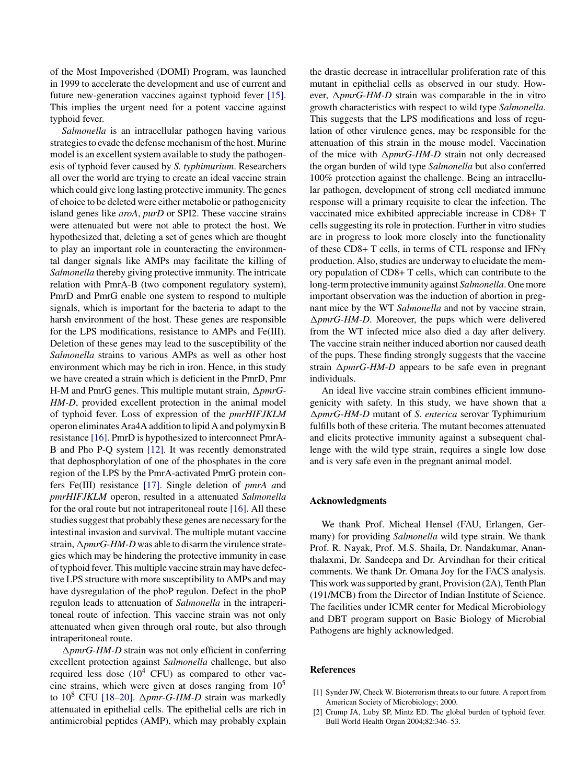<span id="page-7-0"></span>of the Most Impoverished (DOMI) Program, was launched in 1999 to accelerate the development and use of current and future new-generation vaccines against typhoid fever [\[15\].](#page-8-0) This implies the urgent need for a potent vaccine against typhoid fever.

*Salmonella* is an intracellular pathogen having various strategies to evade the defense mechanism of the host. Murine model is an excellent system available to study the pathogenesis of typhoid fever caused by *S. typhimurium*. Researchers all over the world are trying to create an ideal vaccine strain which could give long lasting protective immunity. The genes of choice to be deleted were either metabolic or pathogenicity island genes like *aroA*, *purD* or SPI2. These vaccine strains were attenuated but were not able to protect the host. We hypothesized that, deleting a set of genes which are thought to play an important role in counteracting the environmental danger signals like AMPs may facilitate the killing of *Salmonella* thereby giving protective immunity. The intricate relation with PmrA-B (two component regulatory system), PmrD and PmrG enable one system to respond to multiple signals, which is important for the bacteria to adapt to the harsh environment of the host. These genes are responsible for the LPS modifications, resistance to AMPs and Fe(III). Deletion of these genes may lead to the susceptibility of the *Salmonella* strains to various AMPs as well as other host environment which may be rich in iron. Hence, in this study we have created a strain which is deficient in the PmrD, Pmr H-M and PmrG genes. This multiple mutant strain,  $\Delta pmrG$ -*HM-D*, provided excellent protection in the animal model of typhoid fever. Loss of expression of the *pmrHIFJKLM* operon eliminates Ara4A addition to lipid A and polymyxin B resistance [\[16\]. P](#page-8-0)mrD is hypothesized to interconnect PmrA-B and Pho P-Q system [\[12\].](#page-8-0) It was recently demonstrated that dephosphorylation of one of the phosphates in the core region of the LPS by the PmrA-activated PmrG protein confers Fe(III) resistance [\[17\].](#page-8-0) Single deletion of *pmrA a*nd *pmrHIFJKLM* operon, resulted in a attenuated *Salmonella* for the oral route but not intraperitoneal route [\[16\].](#page-8-0) All these studies suggest that probably these genes are necessary for the intestinal invasion and survival. The multiple mutant vaccine strain,  $\Delta p m r G$ -HM-D was able to disarm the virulence strategies which may be hindering the protective immunity in case of typhoid fever. This multiple vaccine strain may have defective LPS structure with more susceptibility to AMPs and may have dysregulation of the phoP regulon. Defect in the phoP regulon leads to attenuation of *Salmonella* in the intraperitoneal route of infection. This vaccine strain was not only attenuated when given through oral route, but also through intraperitoneal route.

ΔpmrG-HM-D strain was not only efficient in conferring excellent protection against *Salmonella* challenge, but also required less dose  $(10^4 \text{ CFU})$  as compared to other vaccine strains, which were given at doses ranging from  $10^5$ to  $10^8$  CFU [18-20].  $\Delta pmr-G-HM-D$  strain was markedly attenuated in epithelial cells. The epithelial cells are rich in antimicrobial peptides (AMP), which may probably explain the drastic decrease in intracellular proliferation rate of this mutant in epithelial cells as observed in our study. However,  $\Delta pmrG$ -*HM-D* strain was comparable in the in vitro growth characteristics with respect to wild type *Salmonella*. This suggests that the LPS modifications and loss of regulation of other virulence genes, may be responsible for the attenuation of this strain in the mouse model. Vaccination of the mice with  $\Delta p m r G$ -HM-D strain not only decreased the organ burden of wild type *Salmonella* but also conferred 100% protection against the challenge. Being an intracellular pathogen, development of strong cell mediated immune response will a primary requisite to clear the infection. The vaccinated mice exhibited appreciable increase in CD8+ T cells suggesting its role in protection. Further in vitro studies are in progress to look more closely into the functionality of these CD8+ T cells, in terms of CTL response and IFN $\gamma$ production. Also, studies are underway to elucidate the memory population of CD8+ T cells, which can contribute to the long-term protective immunity against *Salmonella*. One more important observation was the induction of abortion in pregnant mice by the WT *Salmonella* and not by vaccine strain, ΔpmrG-HM-D. Moreover, the pups which were delivered from the WT infected mice also died a day after delivery. The vaccine strain neither induced abortion nor caused death of the pups. These finding strongly suggests that the vaccine strain  $\Delta p m r G$ -HM-D appears to be safe even in pregnant individuals.

An ideal live vaccine strain combines efficient immunogenicity with safety. In this study, we have shown that a -*pmrG-HM-D* mutant of *S*. *enterica* serovar Typhimurium fulfills both of these criteria. The mutant becomes attenuated and elicits protective immunity against a subsequent challenge with the wild type strain, requires a single low dose and is very safe even in the pregnant animal model.

#### **Acknowledgments**

We thank Prof. Micheal Hensel (FAU, Erlangen, Germany) for providing *Salmonella* wild type strain. We thank Prof. R. Nayak, Prof. M.S. Shaila, Dr. Nandakumar, Ananthalaxmi, Dr. Sandeepa and Dr. Arvindhan for their critical comments. We thank Dr. Omana Joy for the FACS analysis. This work was supported by grant, Provision (2A), Tenth Plan (191/MCB) from the Director of Indian Institute of Science. The facilities under ICMR center for Medical Microbiology and DBT program support on Basic Biology of Microbial Pathogens are highly acknowledged.

### **References**

- [1] Synder JW, Check W. Bioterrorism threats to our future. A report from American Society of Microbiology; 2000.
- [2] Crump JA, Luby SP, Mintz ED. The global burden of typhoid fever. Bull World Health Organ 2004;82:346–53.